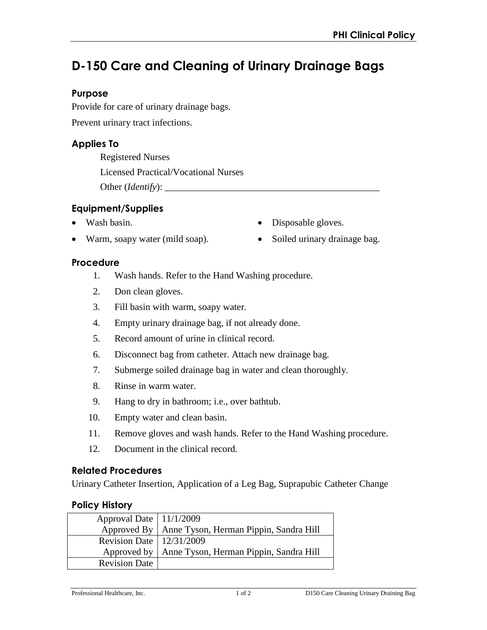# **D-150 Care and Cleaning of Urinary Drainage Bags**

## **Purpose**

Provide for care of urinary drainage bags.

Prevent urinary tract infections.

## **Applies To**

Registered Nurses

Licensed Practical/Vocational Nurses

Other (*Identify*): \_\_\_\_\_\_\_\_\_\_\_\_\_\_\_\_\_\_\_\_\_\_\_\_\_\_\_\_\_\_\_\_\_\_\_\_\_\_\_\_\_\_\_\_\_

## **Equipment/Supplies**

• Wash basin.

• Disposable gloves.

Soiled urinary drainage bag.

• Warm, soapy water (mild soap).

### **Procedure**

- 1. Wash hands. Refer to the Hand Washing procedure.
- 2. Don clean gloves.
- 3. Fill basin with warm, soapy water.
- 4. Empty urinary drainage bag, if not already done.
- 5. Record amount of urine in clinical record.
- 6. Disconnect bag from catheter. Attach new drainage bag.
- 7. Submerge soiled drainage bag in water and clean thoroughly.
- 8. Rinse in warm water.
- 9. Hang to dry in bathroom; i.e., over bathtub.
- 10. Empty water and clean basin.
- 11. Remove gloves and wash hands. Refer to the Hand Washing procedure.
- 12. Document in the clinical record.

### **Related Procedures**

Urinary Catheter Insertion, Application of a Leg Bag, Suprapubic Catheter Change

### **Policy History**

| Approval Date   11/1/2009               |                                                      |
|-----------------------------------------|------------------------------------------------------|
|                                         | Approved By   Anne Tyson, Herman Pippin, Sandra Hill |
| Revision Date   $12/3\overline{1/2009}$ |                                                      |
|                                         | Approved by   Anne Tyson, Herman Pippin, Sandra Hill |
| <b>Revision Date</b>                    |                                                      |